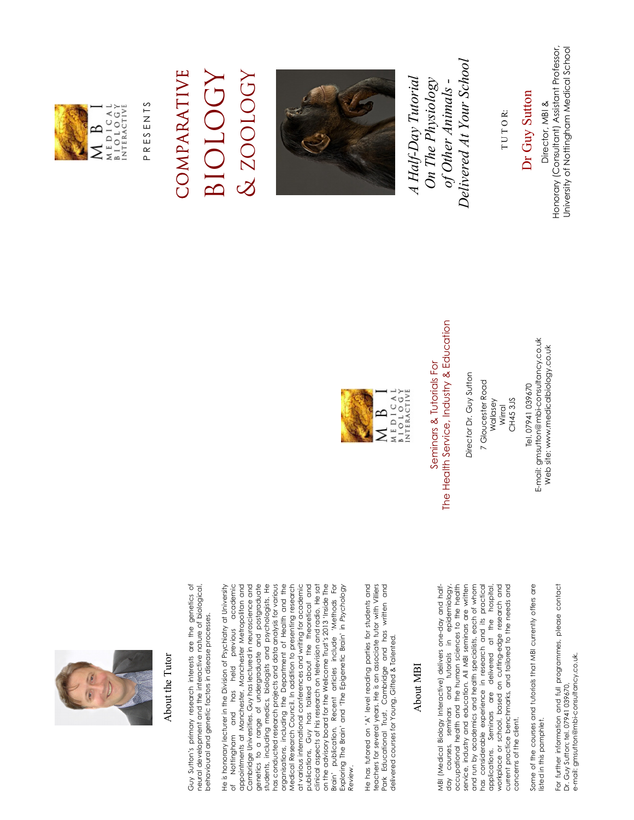

#### About the Tutor About the Tutor

Guy Sutton's primary research interests are the genetics of neural development and the interactive nature of biological, Guy Sutton's primary research interests are the genetics of neural development and the interactive nature of biological, behavioural and genetic factors in disease processes. behavioural and genetic factors in disease processes.

He is honorary lecturer in the Division of Psychiatry at University of Nottingham and has held previous academic appointments at Manchester, Manchester Metropolitan and Cambridge Universities. Guy has lectured in neuroscience and genetics to a range of undergraduate and postgraduate students, including medics, biologists and psychologists. He has conducted research projects and data analysis for various organisations, including the Department of Health and the Medical Research Council. In addition to presenting research at various international conferences and writing for academic publications, Guy has talked about the theoretical and clinical aspects of his research on television and radio. He sat on the advisory board for the Wellcome Trust's 2013 'Inside The Brain' publication. Recent articles include 'Methods For Exploring The Brain' and 'The Epigenetic Brain' in *Psychology*  He is honorary lecturer in the Division of Psychiatry at University of Nottingham and has held previous academic<br>appointments at Manchester, Manchester Metropolitan and Cambridge Universities. Guy has lectured in neuroscience and genetics to a range of undergraduate and postgraduate students, including medics, biologists and psychologists. He has conducted research projects and data analysis for various organisations, including the Department of Health and the at various international conferences and writing for academic publications, Guy has talked about the theoretical and clinical aspects of his research on television and radio. He sat on the advisory board for the Wellcome Trust's 2013 'Inside The Brain' publication. Recent articles include 'Methods For<br>Exploring The Brain' and 'The Epigenetic Brain' in Psychology Medical Research Council. In addition to presenting research *Review*. Review. He has tutored on 'A' level reading parties for students and He has tutored on 'A' level reading parties for students and teachers for several years. He is an associate tutor with Villiers<br>Park Educational Trust, Cambridge and has written and<br>delivered courses for Young, Gifted & Talented. teachers for several years. He is an associate tutor with Villiers Park Educational Trust, Cambridge and has written and delivered courses for Young, Gifted & Talented.

#### About MBI About MBI

day courses, seminars and tutorials in epidemiology, occupational health and the human sciences to the health service, industry and education. All MBI seminars are written and run by academics and health specialists, each of whom has considerable experience in research and its practical applications. Seminars are delivered at the hospital, workplace or school, based on cutting-edge research and current practice benchmarks, and tailored to the needs and service, industry and education. All MBI seminars are written and run by academics and health specialists, each of whom has considerable experience in research and its practical workplace or school, based on cutting-edge research and current practice benchmarks, and tailored to the needs and MBI (Medical Biology Interactive) delivers one-day and half MBI (Medical Biology Interactive) delivers one-day and halfday courses, seminars and tutorials in epidemiology occupational health and the human sciences to the health applications. Seminars are delivered at the hospital concerns of the client. concerns of the client.

Some of the courses and tutorials that MBI currently offers are Some of the courses and tutorials that MBI currently offers are listed in this pamphlet. listed in this pamphlet.

For further information and full programmes, please contact For further information and full programmes, please contact<br>Dr. Guy Sutton; tel. 07941 039670, e-mail: gmsutton@mbi-consultancy.co.uk. e-mail: gmsutton@mbi-consultancy.co.uk Dr. Guy Sutton; tel. 07941 039670,

E-mail: gmsutton@mbi-consultancy.co.uk E-mail: gmsutton@mbi-consultancy.co.uk Web site: www.medicalbiology.co.uk Web site: www.medicalbiology.co.uk Tel. 07941 039670 Tel. 07941 039670

CH45 3JS CH45 3JS Wallasey Wirral

7 Gloucester Road 7 Gloucester Road

Director Dr. Guy Sutton *Director* Dr. Guy Sutton

### The Health Service, Industry & Education The Health Service, Industry & Education Seminars & Tutorials For Seminars & Tutorials For













PRESENTS P R E S E N T S

#### COMPARATIVE BIOLOGY COMPARATIVE **BIOLOGY**

& ZOOLOGY

& ZOOLOGY



 *Delivered At Your School*  Delivered At Your School  *A Half-Day Tutorial On The Physiology*  A Half-Day Tutorial  *of Other Animals -*  On The Physiology of Other Animals -

TUTOR: T U T O R:

 Dr Guy Sutton Dr Guy Sutton Director, MBI & Director, MBI &

Honorary (Consultant) Assistant Professor, Honorary (Consultant) Assistant Professor, University of Nottingham Medical School

University of Nottingham Medical School